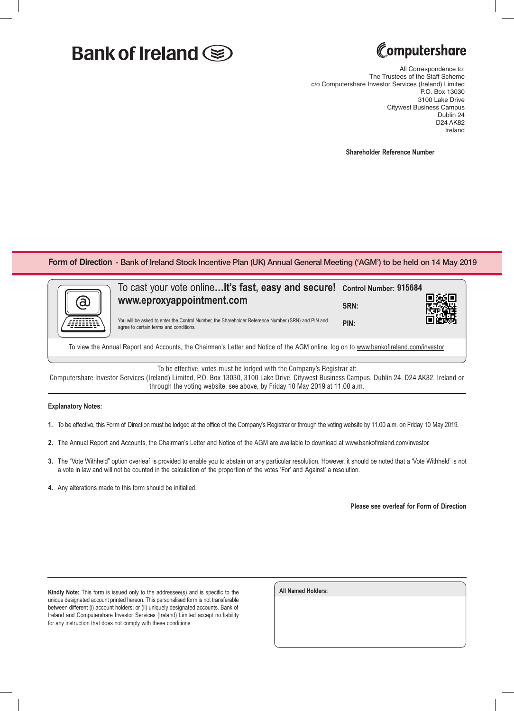## Bank of Ireland (



All Correspondence to: The Trustees of the Staff Scheme c/o Computershare Investor Services (Ireland) Limited P.O. Box 13030 3100 Lake Drive Citywest Business Campus Dublin 24 D24 AK82 Ireland

**Shareholder Reference Number**

## **Form of Direction** - Bank of Ireland Stock Incentive Plan (UK) Annual General Meeting ('AGM') to be held on 14 May 2019

| To cast your vote onlineIt's fast, easy and secure! Control Number: 915684<br>www.eproxyappointment.com<br>You will be asked to enter the Control Number, the Shareholder Reference Number (SRN) and PIN and<br>agree to certain terms and conditions. | SRN:<br>PIN: |  |
|--------------------------------------------------------------------------------------------------------------------------------------------------------------------------------------------------------------------------------------------------------|--------------|--|
|                                                                                                                                                                                                                                                        |              |  |

To view the Annual Report and Accounts, the Chairman's Letter and Notice of the AGM online, log on to www.bankofireland.com/investor

To be effective, votes must be lodged with the Company's Registrar at:

Computershare Investor Services (Ireland) Limited, P.O. Box 13030, 3100 Lake Drive, Citywest Business Campus, Dublin 24, D24 AK82, Ireland or through the voting website, see above, by Friday 10 May 2019 at 11.00 a.m.

## **Explanatory Notes:**

- **1.** To be effective, this Form of Direction must be lodged at the office of the Company's Registrar or through the voting website by 11.00 a.m. on Friday 10 May 2019.
- **2.** The Annual Report and Accounts, the Chairman's Letter and Notice of the AGM are available to download at www.bankofireland.com/investor.
- **3.** The "Vote Withheld" option overleaf is provided to enable you to abstain on any particular resolution. However, it should be noted that a 'Vote Withheld' is not a vote in law and will not be counted in the calculation of the proportion of the votes 'For' and 'Against' a resolution.
- **4.** Any alterations made to this form should be initialled.

**Please see overleaf for Form of Direction**

**Kindly Note:** This form is issued only to the addressee(s) and is specific to the unique designated account printed hereon. This personalised form is not transferable between different (i) account holders; or (ii) uniquely designated accounts. Bank of Ireland and Computershare Investor Services (Ireland) Limited accept no liability for any instruction that does not comply with these conditions.

| All Named Holders: |  |
|--------------------|--|
|                    |  |
|                    |  |
|                    |  |
|                    |  |
|                    |  |
|                    |  |
|                    |  |
|                    |  |